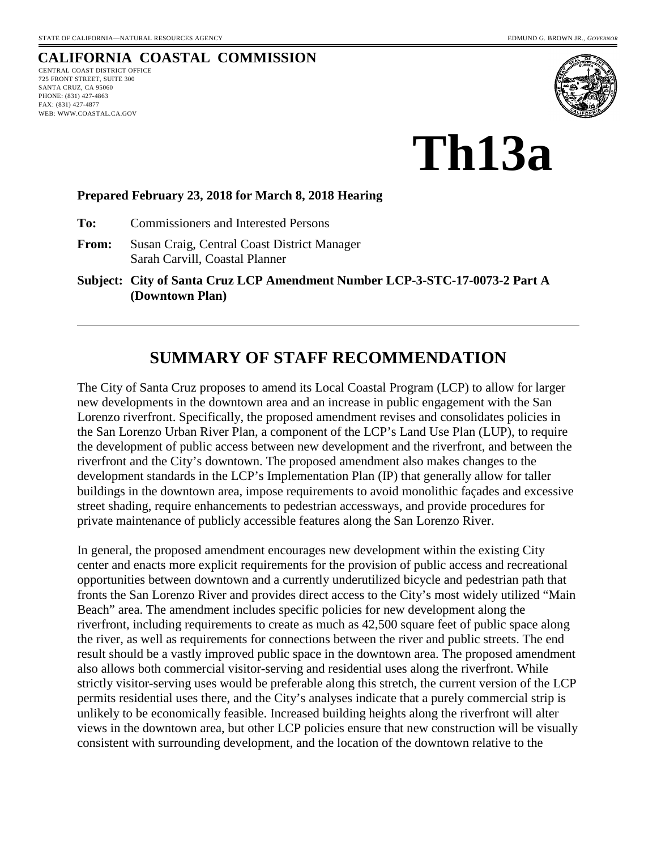# **CALIFORNIA COASTAL COMMISSION**

CENTRAL COAST DISTRICT OFFICE 725 FRONT STREET, SUITE 300 SANTA CRUZ, CA 95060 PHONE: (831) 427-4863 FAX: (831) 427-4877 WEB: WWW.COASTAL.CA.GOV



**Th13a** 

#### **Prepared February 23, 2018 for March 8, 2018 Hearing**

**To:** Commissioners and Interested Persons

- **From:** Susan Craig, Central Coast District Manager Sarah Carvill, Coastal Planner
- **Subject: City of Santa Cruz LCP Amendment Number LCP-3-STC-17-0073-2 Part A (Downtown Plan)**

# **SUMMARY OF STAFF RECOMMENDATION**

The City of Santa Cruz proposes to amend its Local Coastal Program (LCP) to allow for larger new developments in the downtown area and an increase in public engagement with the San Lorenzo riverfront. Specifically, the proposed amendment revises and consolidates policies in the San Lorenzo Urban River Plan, a component of the LCP's Land Use Plan (LUP), to require the development of public access between new development and the riverfront, and between the riverfront and the City's downtown. The proposed amendment also makes changes to the development standards in the LCP's Implementation Plan (IP) that generally allow for taller buildings in the downtown area, impose requirements to avoid monolithic façades and excessive street shading, require enhancements to pedestrian accessways, and provide procedures for private maintenance of publicly accessible features along the San Lorenzo River.

In general, the proposed amendment encourages new development within the existing City center and enacts more explicit requirements for the provision of public access and recreational opportunities between downtown and a currently underutilized bicycle and pedestrian path that fronts the San Lorenzo River and provides direct access to the City's most widely utilized "Main Beach" area. The amendment includes specific policies for new development along the riverfront, including requirements to create as much as 42,500 square feet of public space along the river, as well as requirements for connections between the river and public streets. The end result should be a vastly improved public space in the downtown area. The proposed amendment also allows both commercial visitor-serving and residential uses along the riverfront. While strictly visitor-serving uses would be preferable along this stretch, the current version of the LCP permits residential uses there, and the City's analyses indicate that a purely commercial strip is unlikely to be economically feasible. Increased building heights along the riverfront will alter views in the downtown area, but other LCP policies ensure that new construction will be visually consistent with surrounding development, and the location of the downtown relative to the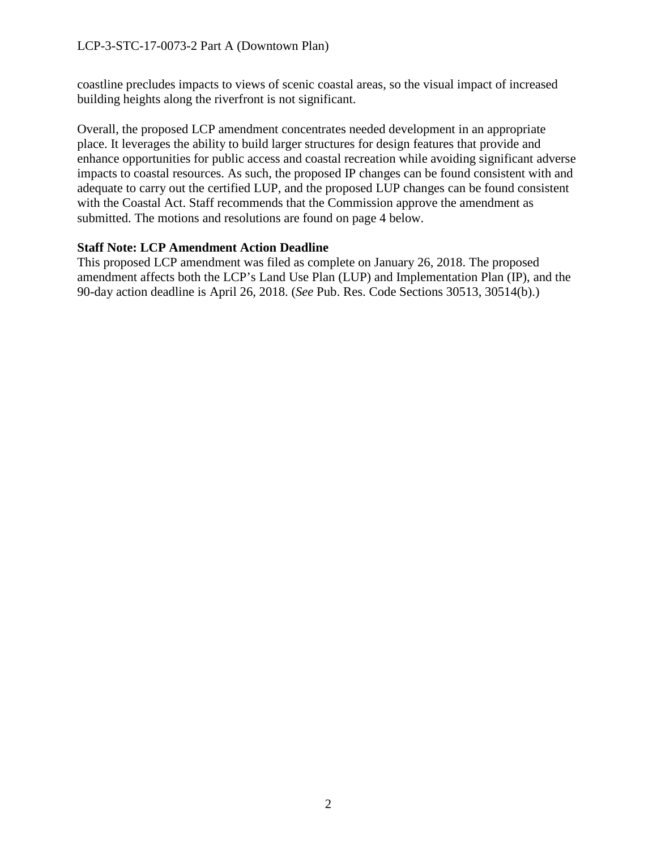coastline precludes impacts to views of scenic coastal areas, so the visual impact of increased building heights along the riverfront is not significant.

Overall, the proposed LCP amendment concentrates needed development in an appropriate place. It leverages the ability to build larger structures for design features that provide and enhance opportunities for public access and coastal recreation while avoiding significant adverse impacts to coastal resources. As such, the proposed IP changes can be found consistent with and adequate to carry out the certified LUP, and the proposed LUP changes can be found consistent with the Coastal Act. Staff recommends that the Commission approve the amendment as submitted. The motions and resolutions are found on page 4 below.

#### **Staff Note: LCP Amendment Action Deadline**

This proposed LCP amendment was filed as complete on January 26, 2018. The proposed amendment affects both the LCP's Land Use Plan (LUP) and Implementation Plan (IP), and the 90-day action deadline is April 26, 2018. (*See* Pub. Res. Code Sections 30513, 30514(b).)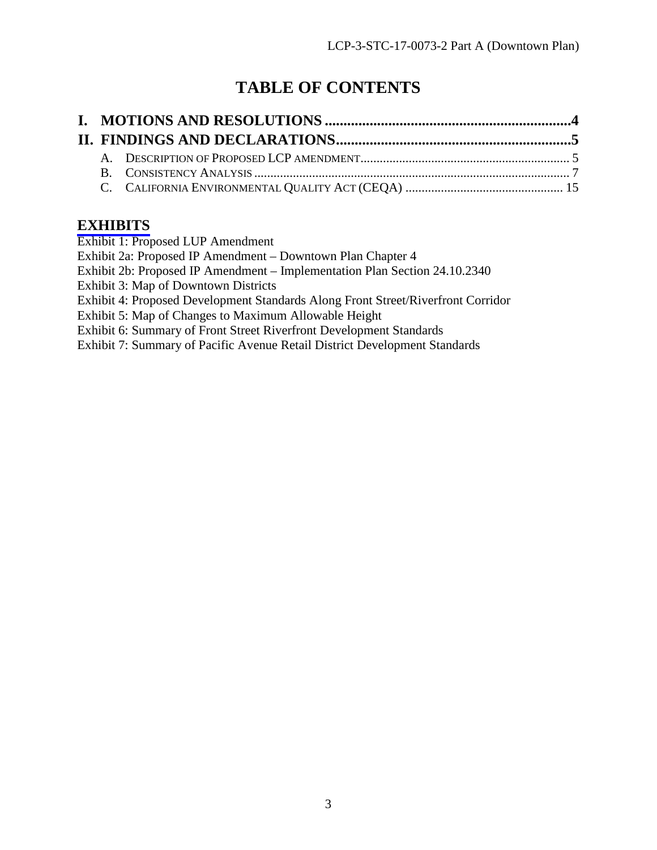# **TABLE OF CONTENTS**

# **[EXHIBITS](https://documents.coastal.ca.gov/reports/2018/3/th13a/th13a-3-2018-report.pdf)**

Exhibit 1: Proposed LUP Amendment

Exhibit 2a: Proposed IP Amendment – Downtown Plan Chapter 4

Exhibit 2b: Proposed IP Amendment – Implementation Plan Section 24.10.2340

Exhibit 3: Map of Downtown Districts

Exhibit 4: Proposed Development Standards Along Front Street/Riverfront Corridor

Exhibit 5: Map of Changes to Maximum Allowable Height

Exhibit 6: Summary of Front Street Riverfront Development Standards

Exhibit 7: Summary of Pacific Avenue Retail District Development Standards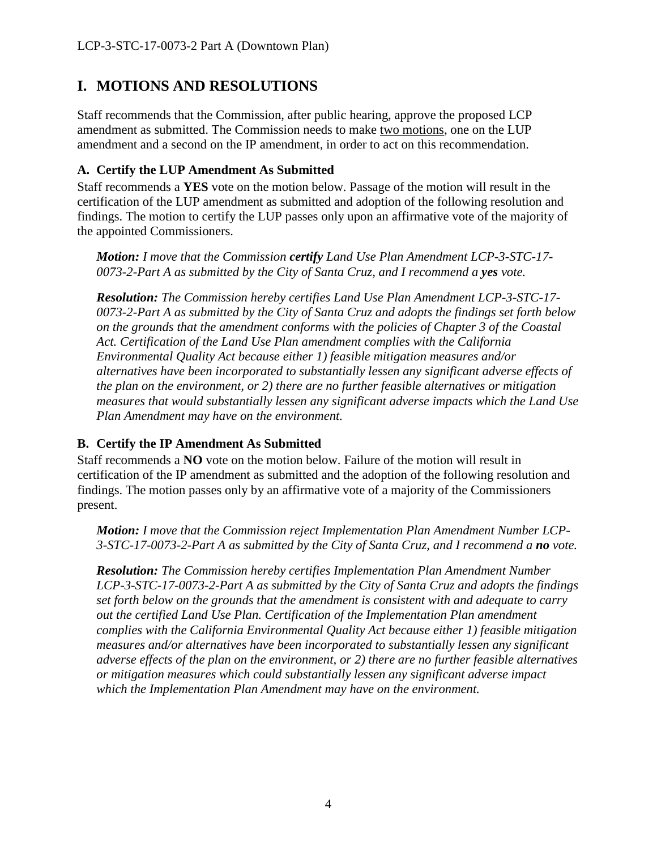# <span id="page-3-0"></span>**I. MOTIONS AND RESOLUTIONS**

Staff recommends that the Commission, after public hearing, approve the proposed LCP amendment as submitted. The Commission needs to make two motions, one on the LUP amendment and a second on the IP amendment, in order to act on this recommendation.

### **A. Certify the LUP Amendment As Submitted**

Staff recommends a **YES** vote on the motion below. Passage of the motion will result in the certification of the LUP amendment as submitted and adoption of the following resolution and findings. The motion to certify the LUP passes only upon an affirmative vote of the majority of the appointed Commissioners.

*Motion: I move that the Commission certify Land Use Plan Amendment LCP-3-STC-17- 0073-2-Part A as submitted by the City of Santa Cruz, and I recommend a yes vote.*

*Resolution: The Commission hereby certifies Land Use Plan Amendment LCP-3-STC-17- 0073-2-Part A as submitted by the City of Santa Cruz and adopts the findings set forth below on the grounds that the amendment conforms with the policies of Chapter 3 of the Coastal Act. Certification of the Land Use Plan amendment complies with the California Environmental Quality Act because either 1) feasible mitigation measures and/or alternatives have been incorporated to substantially lessen any significant adverse effects of the plan on the environment, or 2) there are no further feasible alternatives or mitigation measures that would substantially lessen any significant adverse impacts which the Land Use Plan Amendment may have on the environment.*

### **B. Certify the IP Amendment As Submitted**

Staff recommends a **NO** vote on the motion below. Failure of the motion will result in certification of the IP amendment as submitted and the adoption of the following resolution and findings. The motion passes only by an affirmative vote of a majority of the Commissioners present.

*Motion: I move that the Commission reject Implementation Plan Amendment Number LCP-3-STC-17-0073-2-Part A as submitted by the City of Santa Cruz, and I recommend a no vote.*

*Resolution: The Commission hereby certifies Implementation Plan Amendment Number LCP-3-STC-17-0073-2-Part A as submitted by the City of Santa Cruz and adopts the findings set forth below on the grounds that the amendment is consistent with and adequate to carry out the certified Land Use Plan. Certification of the Implementation Plan amendment complies with the California Environmental Quality Act because either 1) feasible mitigation measures and/or alternatives have been incorporated to substantially lessen any significant adverse effects of the plan on the environment, or 2) there are no further feasible alternatives or mitigation measures which could substantially lessen any significant adverse impact which the Implementation Plan Amendment may have on the environment.*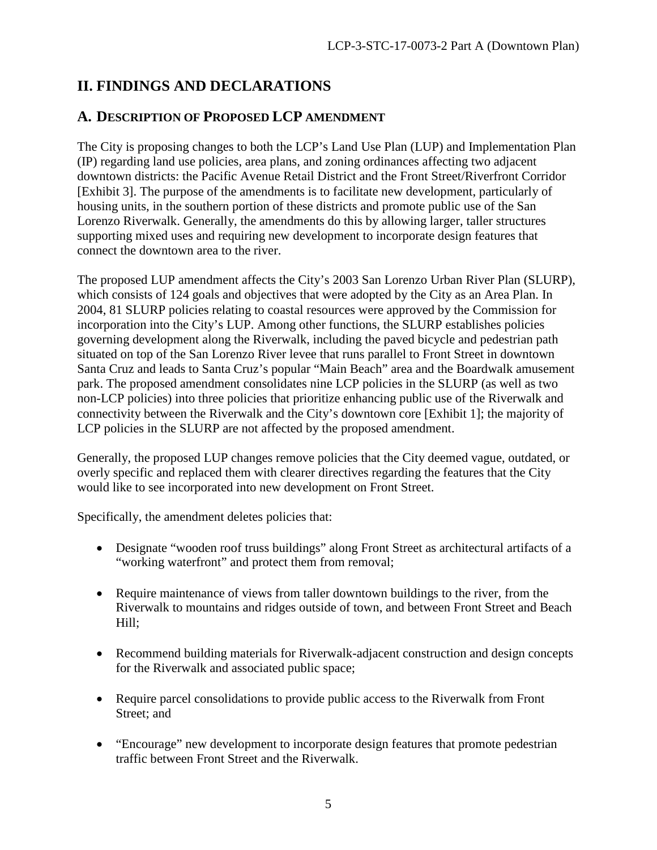# <span id="page-4-0"></span>**II. FINDINGS AND DECLARATIONS**

### <span id="page-4-1"></span>**A. DESCRIPTION OF PROPOSED LCP AMENDMENT**

The City is proposing changes to both the LCP's Land Use Plan (LUP) and Implementation Plan (IP) regarding land use policies, area plans, and zoning ordinances affecting two adjacent downtown districts: the Pacific Avenue Retail District and the Front Street/Riverfront Corridor [Exhibit 3]. The purpose of the amendments is to facilitate new development, particularly of housing units, in the southern portion of these districts and promote public use of the San Lorenzo Riverwalk. Generally, the amendments do this by allowing larger, taller structures supporting mixed uses and requiring new development to incorporate design features that connect the downtown area to the river.

The proposed LUP amendment affects the City's 2003 San Lorenzo Urban River Plan (SLURP), which consists of 124 goals and objectives that were adopted by the City as an Area Plan. In 2004, 81 SLURP policies relating to coastal resources were approved by the Commission for incorporation into the City's LUP. Among other functions, the SLURP establishes policies governing development along the Riverwalk, including the paved bicycle and pedestrian path situated on top of the San Lorenzo River levee that runs parallel to Front Street in downtown Santa Cruz and leads to Santa Cruz's popular "Main Beach" area and the Boardwalk amusement park. The proposed amendment consolidates nine LCP policies in the SLURP (as well as two non-LCP policies) into three policies that prioritize enhancing public use of the Riverwalk and connectivity between the Riverwalk and the City's downtown core [Exhibit 1]; the majority of LCP policies in the SLURP are not affected by the proposed amendment.

Generally, the proposed LUP changes remove policies that the City deemed vague, outdated, or overly specific and replaced them with clearer directives regarding the features that the City would like to see incorporated into new development on Front Street.

Specifically, the amendment deletes policies that:

- Designate "wooden roof truss buildings" along Front Street as architectural artifacts of a "working waterfront" and protect them from removal;
- Require maintenance of views from taller downtown buildings to the river, from the Riverwalk to mountains and ridges outside of town, and between Front Street and Beach Hill;
- Recommend building materials for Riverwalk-adjacent construction and design concepts for the Riverwalk and associated public space;
- Require parcel consolidations to provide public access to the Riverwalk from Front Street; and
- "Encourage" new development to incorporate design features that promote pedestrian traffic between Front Street and the Riverwalk.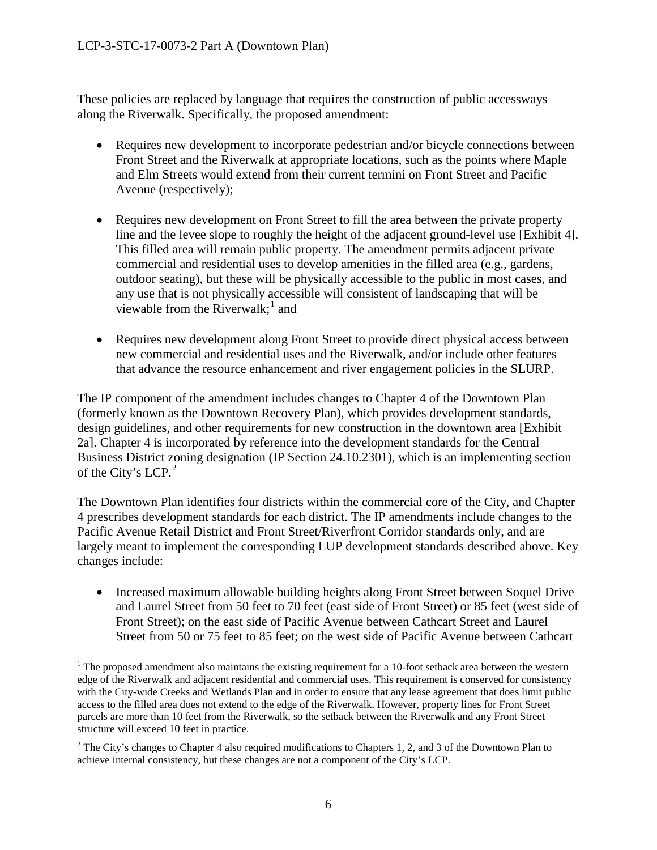These policies are replaced by language that requires the construction of public accessways along the Riverwalk. Specifically, the proposed amendment:

- Requires new development to incorporate pedestrian and/or bicycle connections between Front Street and the Riverwalk at appropriate locations, such as the points where Maple and Elm Streets would extend from their current termini on Front Street and Pacific Avenue (respectively);
- Requires new development on Front Street to fill the area between the private property line and the levee slope to roughly the height of the adjacent ground-level use [Exhibit 4]. This filled area will remain public property. The amendment permits adjacent private commercial and residential uses to develop amenities in the filled area (e.g., gardens, outdoor seating), but these will be physically accessible to the public in most cases, and any use that is not physically accessible will consistent of landscaping that will be viewable from the Riverwalk;<sup>[1](#page-5-0)</sup> and
- Requires new development along Front Street to provide direct physical access between new commercial and residential uses and the Riverwalk, and/or include other features that advance the resource enhancement and river engagement policies in the SLURP.

The IP component of the amendment includes changes to Chapter 4 of the Downtown Plan (formerly known as the Downtown Recovery Plan), which provides development standards, design guidelines, and other requirements for new construction in the downtown area [Exhibit 2a]. Chapter 4 is incorporated by reference into the development standards for the Central Business District zoning designation (IP Section 24.10.2301), which is an implementing section of the City's LCP. $2$ 

The Downtown Plan identifies four districts within the commercial core of the City, and Chapter 4 prescribes development standards for each district. The IP amendments include changes to the Pacific Avenue Retail District and Front Street/Riverfront Corridor standards only, and are largely meant to implement the corresponding LUP development standards described above. Key changes include:

• Increased maximum allowable building heights along Front Street between Soquel Drive and Laurel Street from 50 feet to 70 feet (east side of Front Street) or 85 feet (west side of Front Street); on the east side of Pacific Avenue between Cathcart Street and Laurel Street from 50 or 75 feet to 85 feet; on the west side of Pacific Avenue between Cathcart

<span id="page-5-0"></span> $\overline{a}$  $1$  The proposed amendment also maintains the existing requirement for a 10-foot setback area between the western edge of the Riverwalk and adjacent residential and commercial uses. This requirement is conserved for consistency with the City-wide Creeks and Wetlands Plan and in order to ensure that any lease agreement that does limit public access to the filled area does not extend to the edge of the Riverwalk. However, property lines for Front Street parcels are more than 10 feet from the Riverwalk, so the setback between the Riverwalk and any Front Street structure will exceed 10 feet in practice.

<span id="page-5-1"></span><sup>&</sup>lt;sup>2</sup> The City's changes to Chapter 4 also required modifications to Chapters 1, 2, and 3 of the Downtown Plan to achieve internal consistency, but these changes are not a component of the City's LCP.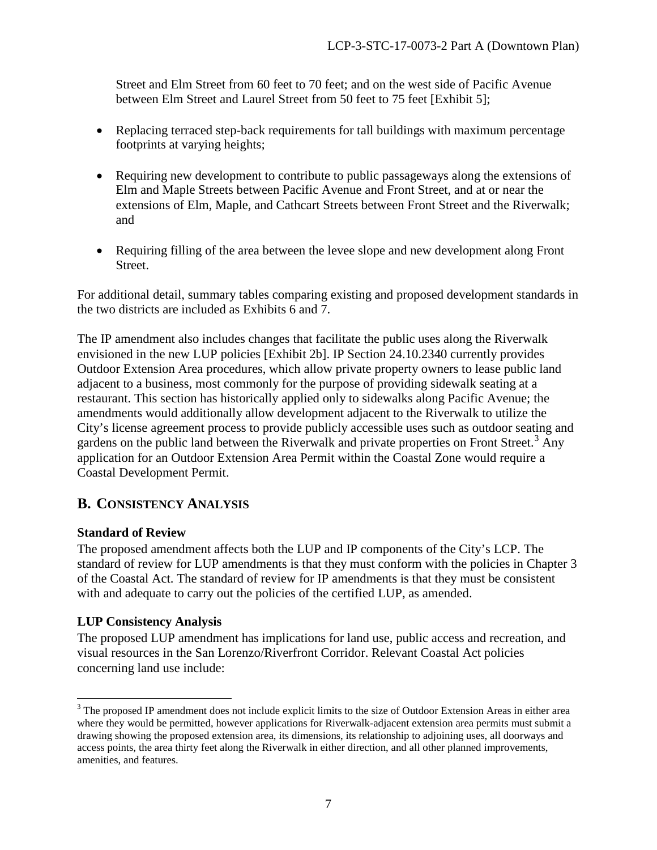Street and Elm Street from 60 feet to 70 feet; and on the west side of Pacific Avenue between Elm Street and Laurel Street from 50 feet to 75 feet [Exhibit 5];

- Replacing terraced step-back requirements for tall buildings with maximum percentage footprints at varying heights;
- Requiring new development to contribute to public passageways along the extensions of Elm and Maple Streets between Pacific Avenue and Front Street, and at or near the extensions of Elm, Maple, and Cathcart Streets between Front Street and the Riverwalk; and
- Requiring filling of the area between the levee slope and new development along Front Street.

For additional detail, summary tables comparing existing and proposed development standards in the two districts are included as Exhibits 6 and 7.

The IP amendment also includes changes that facilitate the public uses along the Riverwalk envisioned in the new LUP policies [Exhibit 2b]. IP Section 24.10.2340 currently provides Outdoor Extension Area procedures, which allow private property owners to lease public land adjacent to a business, most commonly for the purpose of providing sidewalk seating at a restaurant. This section has historically applied only to sidewalks along Pacific Avenue; the amendments would additionally allow development adjacent to the Riverwalk to utilize the City's license agreement process to provide publicly accessible uses such as outdoor seating and gardens on the public land between the Riverwalk and private properties on Front Street.<sup>[3](#page-6-1)</sup> Any application for an Outdoor Extension Area Permit within the Coastal Zone would require a Coastal Development Permit.

# <span id="page-6-0"></span>**B. CONSISTENCY ANALYSIS**

#### **Standard of Review**

The proposed amendment affects both the LUP and IP components of the City's LCP. The standard of review for LUP amendments is that they must conform with the policies in Chapter 3 of the Coastal Act. The standard of review for IP amendments is that they must be consistent with and adequate to carry out the policies of the certified LUP, as amended.

#### **LUP Consistency Analysis**

The proposed LUP amendment has implications for land use, public access and recreation, and visual resources in the San Lorenzo/Riverfront Corridor. Relevant Coastal Act policies concerning land use include:

<span id="page-6-1"></span> $\overline{a}$  $3$  The proposed IP amendment does not include explicit limits to the size of Outdoor Extension Areas in either area where they would be permitted, however applications for Riverwalk-adjacent extension area permits must submit a drawing showing the proposed extension area, its dimensions, its relationship to adjoining uses, all doorways and access points, the area thirty feet along the Riverwalk in either direction, and all other planned improvements, amenities, and features.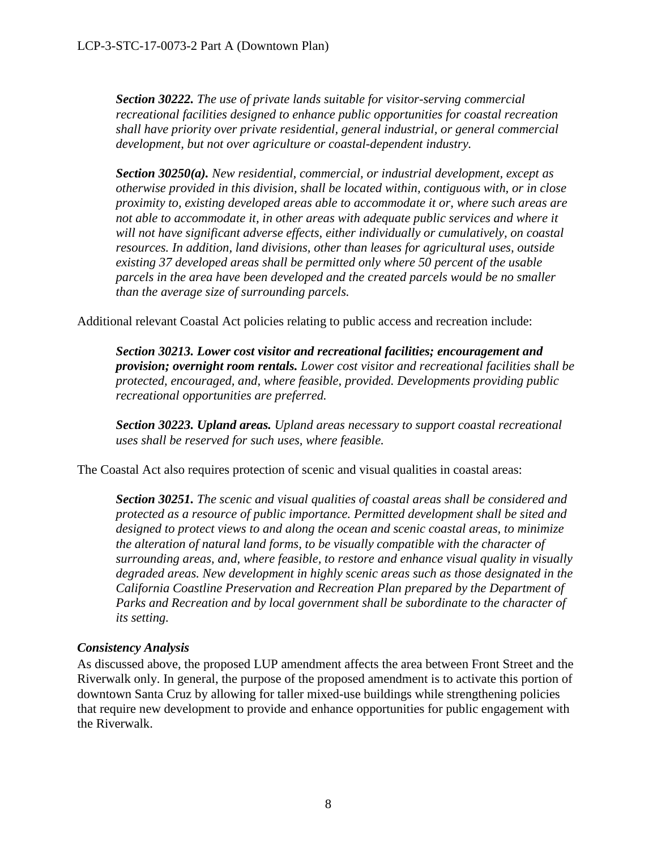*Section 30222. The use of private lands suitable for visitor-serving commercial recreational facilities designed to enhance public opportunities for coastal recreation shall have priority over private residential, general industrial, or general commercial development, but not over agriculture or coastal-dependent industry.* 

*Section 30250(a). New residential, commercial, or industrial development, except as otherwise provided in this division, shall be located within, contiguous with, or in close proximity to, existing developed areas able to accommodate it or, where such areas are not able to accommodate it, in other areas with adequate public services and where it will not have significant adverse effects, either individually or cumulatively, on coastal resources. In addition, land divisions, other than leases for agricultural uses, outside existing 37 developed areas shall be permitted only where 50 percent of the usable parcels in the area have been developed and the created parcels would be no smaller than the average size of surrounding parcels.* 

Additional relevant Coastal Act policies relating to public access and recreation include:

*Section 30213. Lower cost visitor and recreational facilities; encouragement and provision; overnight room rentals. Lower cost visitor and recreational facilities shall be protected, encouraged, and, where feasible, provided. Developments providing public recreational opportunities are preferred.* 

*Section 30223. Upland areas. Upland areas necessary to support coastal recreational uses shall be reserved for such uses, where feasible.* 

The Coastal Act also requires protection of scenic and visual qualities in coastal areas:

*Section 30251. The scenic and visual qualities of coastal areas shall be considered and protected as a resource of public importance. Permitted development shall be sited and designed to protect views to and along the ocean and scenic coastal areas, to minimize the alteration of natural land forms, to be visually compatible with the character of surrounding areas, and, where feasible, to restore and enhance visual quality in visually degraded areas. New development in highly scenic areas such as those designated in the California Coastline Preservation and Recreation Plan prepared by the Department of Parks and Recreation and by local government shall be subordinate to the character of its setting.*

### *Consistency Analysis*

As discussed above, the proposed LUP amendment affects the area between Front Street and the Riverwalk only. In general, the purpose of the proposed amendment is to activate this portion of downtown Santa Cruz by allowing for taller mixed-use buildings while strengthening policies that require new development to provide and enhance opportunities for public engagement with the Riverwalk.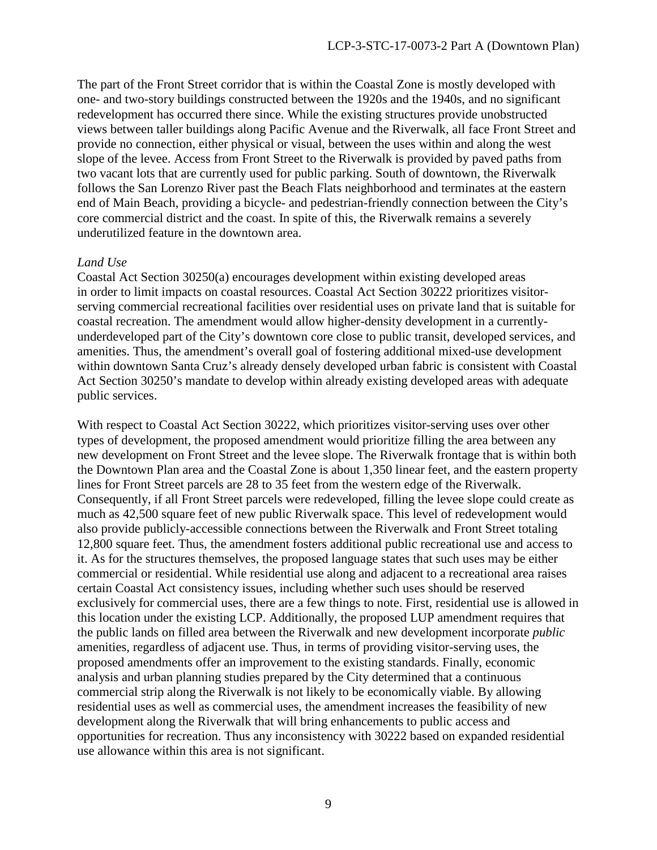The part of the Front Street corridor that is within the Coastal Zone is mostly developed with one- and two-story buildings constructed between the 1920s and the 1940s, and no significant redevelopment has occurred there since. While the existing structures provide unobstructed views between taller buildings along Pacific Avenue and the Riverwalk, all face Front Street and provide no connection, either physical or visual, between the uses within and along the west slope of the levee. Access from Front Street to the Riverwalk is provided by paved paths from two vacant lots that are currently used for public parking. South of downtown, the Riverwalk follows the San Lorenzo River past the Beach Flats neighborhood and terminates at the eastern end of Main Beach, providing a bicycle- and pedestrian-friendly connection between the City's core commercial district and the coast. In spite of this, the Riverwalk remains a severely underutilized feature in the downtown area.

#### *Land Use*

Coastal Act Section 30250(a) encourages development within existing developed areas in order to limit impacts on coastal resources. Coastal Act Section 30222 prioritizes visitorserving commercial recreational facilities over residential uses on private land that is suitable for coastal recreation. The amendment would allow higher-density development in a currentlyunderdeveloped part of the City's downtown core close to public transit, developed services, and amenities. Thus, the amendment's overall goal of fostering additional mixed-use development within downtown Santa Cruz's already densely developed urban fabric is consistent with Coastal Act Section 30250's mandate to develop within already existing developed areas with adequate public services.

With respect to Coastal Act Section 30222, which prioritizes visitor-serving uses over other types of development, the proposed amendment would prioritize filling the area between any new development on Front Street and the levee slope. The Riverwalk frontage that is within both the Downtown Plan area and the Coastal Zone is about 1,350 linear feet, and the eastern property lines for Front Street parcels are 28 to 35 feet from the western edge of the Riverwalk. Consequently, if all Front Street parcels were redeveloped, filling the levee slope could create as much as 42,500 square feet of new public Riverwalk space. This level of redevelopment would also provide publicly-accessible connections between the Riverwalk and Front Street totaling 12,800 square feet. Thus, the amendment fosters additional public recreational use and access to it. As for the structures themselves, the proposed language states that such uses may be either commercial or residential. While residential use along and adjacent to a recreational area raises certain Coastal Act consistency issues, including whether such uses should be reserved exclusively for commercial uses, there are a few things to note. First, residential use is allowed in this location under the existing LCP. Additionally, the proposed LUP amendment requires that the public lands on filled area between the Riverwalk and new development incorporate *public* amenities, regardless of adjacent use. Thus, in terms of providing visitor-serving uses, the proposed amendments offer an improvement to the existing standards. Finally, economic analysis and urban planning studies prepared by the City determined that a continuous commercial strip along the Riverwalk is not likely to be economically viable. By allowing residential uses as well as commercial uses, the amendment increases the feasibility of new development along the Riverwalk that will bring enhancements to public access and opportunities for recreation. Thus any inconsistency with 30222 based on expanded residential use allowance within this area is not significant.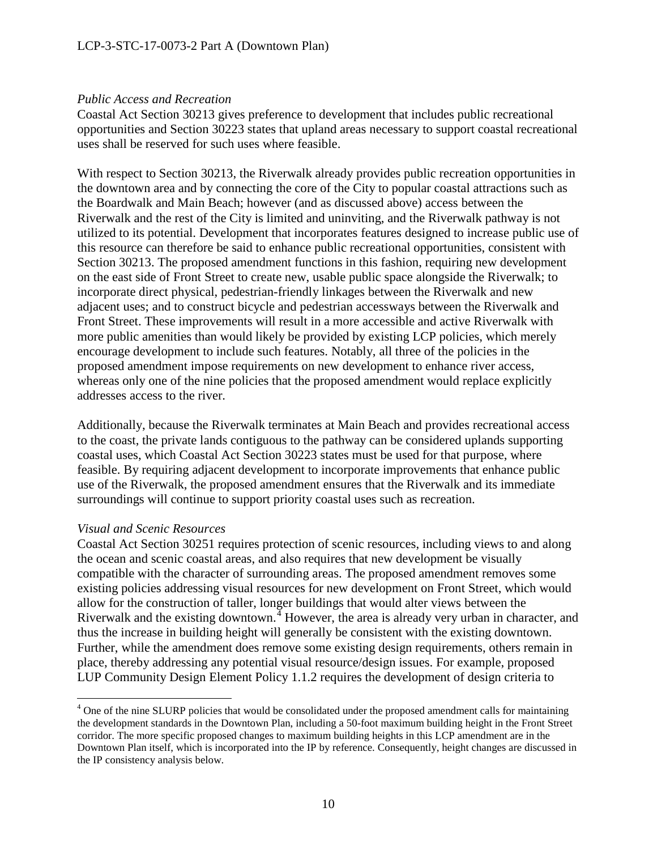#### *Public Access and Recreation*

Coastal Act Section 30213 gives preference to development that includes public recreational opportunities and Section 30223 states that upland areas necessary to support coastal recreational uses shall be reserved for such uses where feasible.

With respect to Section 30213, the Riverwalk already provides public recreation opportunities in the downtown area and by connecting the core of the City to popular coastal attractions such as the Boardwalk and Main Beach; however (and as discussed above) access between the Riverwalk and the rest of the City is limited and uninviting, and the Riverwalk pathway is not utilized to its potential. Development that incorporates features designed to increase public use of this resource can therefore be said to enhance public recreational opportunities, consistent with Section 30213. The proposed amendment functions in this fashion, requiring new development on the east side of Front Street to create new, usable public space alongside the Riverwalk; to incorporate direct physical, pedestrian-friendly linkages between the Riverwalk and new adjacent uses; and to construct bicycle and pedestrian accessways between the Riverwalk and Front Street. These improvements will result in a more accessible and active Riverwalk with more public amenities than would likely be provided by existing LCP policies, which merely encourage development to include such features. Notably, all three of the policies in the proposed amendment impose requirements on new development to enhance river access, whereas only one of the nine policies that the proposed amendment would replace explicitly addresses access to the river.

Additionally, because the Riverwalk terminates at Main Beach and provides recreational access to the coast, the private lands contiguous to the pathway can be considered uplands supporting coastal uses, which Coastal Act Section 30223 states must be used for that purpose, where feasible. By requiring adjacent development to incorporate improvements that enhance public use of the Riverwalk, the proposed amendment ensures that the Riverwalk and its immediate surroundings will continue to support priority coastal uses such as recreation.

#### *Visual and Scenic Resources*

 $\overline{a}$ 

Coastal Act Section 30251 requires protection of scenic resources, including views to and along the ocean and scenic coastal areas, and also requires that new development be visually compatible with the character of surrounding areas. The proposed amendment removes some existing policies addressing visual resources for new development on Front Street, which would allow for the construction of taller, longer buildings that would alter views between the Riverwalk and the existing downtown.<sup> $4$ </sup> However, the area is already very urban in character, and thus the increase in building height will generally be consistent with the existing downtown. Further, while the amendment does remove some existing design requirements, others remain in place, thereby addressing any potential visual resource/design issues. For example, proposed LUP Community Design Element Policy 1.1.2 requires the development of design criteria to

<span id="page-9-0"></span><sup>&</sup>lt;sup>4</sup> One of the nine SLURP policies that would be consolidated under the proposed amendment calls for maintaining the development standards in the Downtown Plan, including a 50-foot maximum building height in the Front Street corridor. The more specific proposed changes to maximum building heights in this LCP amendment are in the Downtown Plan itself, which is incorporated into the IP by reference. Consequently, height changes are discussed in the IP consistency analysis below.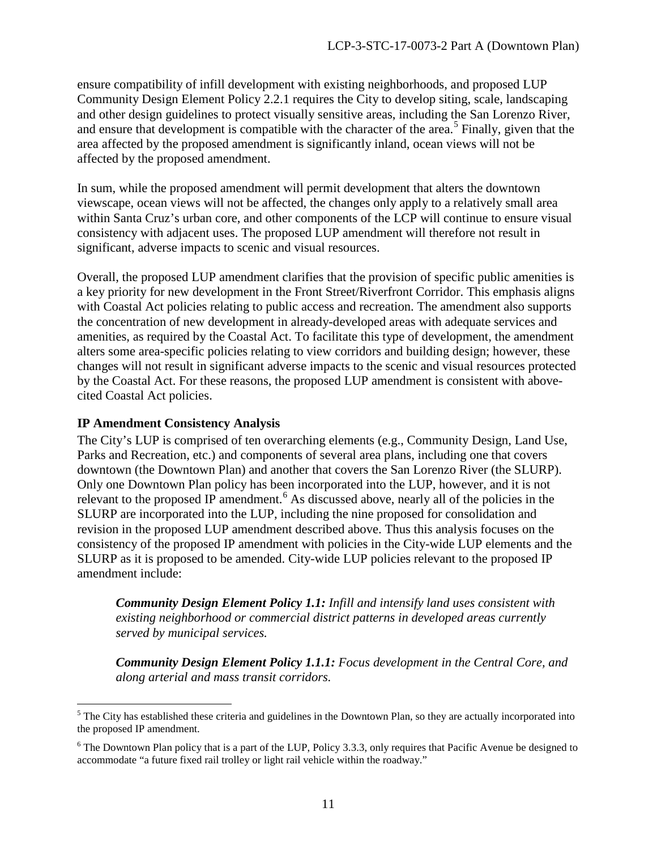ensure compatibility of infill development with existing neighborhoods, and proposed LUP Community Design Element Policy 2.2.1 requires the City to develop siting, scale, landscaping and other design guidelines to protect visually sensitive areas, including the San Lorenzo River, and ensure that development is compatible with the character of the area.<sup>[5](#page-10-0)</sup> Finally, given that the area affected by the proposed amendment is significantly inland, ocean views will not be affected by the proposed amendment.

In sum, while the proposed amendment will permit development that alters the downtown viewscape, ocean views will not be affected, the changes only apply to a relatively small area within Santa Cruz's urban core, and other components of the LCP will continue to ensure visual consistency with adjacent uses. The proposed LUP amendment will therefore not result in significant, adverse impacts to scenic and visual resources.

Overall, the proposed LUP amendment clarifies that the provision of specific public amenities is a key priority for new development in the Front Street/Riverfront Corridor. This emphasis aligns with Coastal Act policies relating to public access and recreation. The amendment also supports the concentration of new development in already-developed areas with adequate services and amenities, as required by the Coastal Act. To facilitate this type of development, the amendment alters some area-specific policies relating to view corridors and building design; however, these changes will not result in significant adverse impacts to the scenic and visual resources protected by the Coastal Act. For these reasons, the proposed LUP amendment is consistent with abovecited Coastal Act policies.

#### **IP Amendment Consistency Analysis**

 $\overline{a}$ 

The City's LUP is comprised of ten overarching elements (e.g., Community Design, Land Use, Parks and Recreation, etc.) and components of several area plans, including one that covers downtown (the Downtown Plan) and another that covers the San Lorenzo River (the SLURP). Only one Downtown Plan policy has been incorporated into the LUP, however, and it is not relevant to the proposed IP amendment.<sup>[6](#page-10-1)</sup> As discussed above, nearly all of the policies in the SLURP are incorporated into the LUP, including the nine proposed for consolidation and revision in the proposed LUP amendment described above. Thus this analysis focuses on the consistency of the proposed IP amendment with policies in the City-wide LUP elements and the SLURP as it is proposed to be amended. City-wide LUP policies relevant to the proposed IP amendment include:

*Community Design Element Policy 1.1: Infill and intensify land uses consistent with existing neighborhood or commercial district patterns in developed areas currently served by municipal services.* 

*Community Design Element Policy 1.1.1: Focus development in the Central Core, and along arterial and mass transit corridors.*

<span id="page-10-0"></span><sup>&</sup>lt;sup>5</sup> The City has established these criteria and guidelines in the Downtown Plan, so they are actually incorporated into the proposed IP amendment.

<span id="page-10-1"></span> $6$  The Downtown Plan policy that is a part of the LUP, Policy 3.3.3, only requires that Pacific Avenue be designed to accommodate "a future fixed rail trolley or light rail vehicle within the roadway."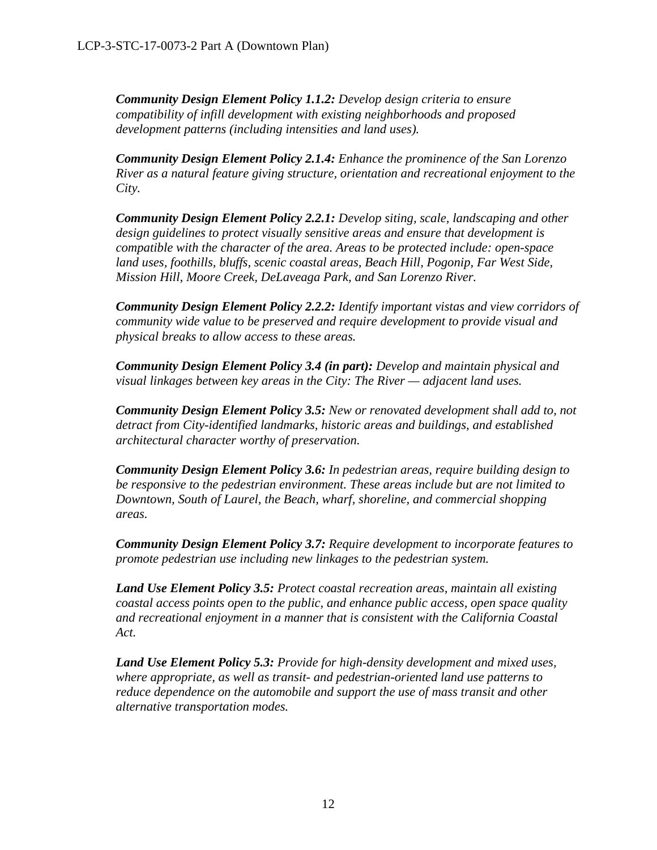*Community Design Element Policy 1.1.2: Develop design criteria to ensure compatibility of infill development with existing neighborhoods and proposed development patterns (including intensities and land uses).* 

*Community Design Element Policy 2.1.4: Enhance the prominence of the San Lorenzo River as a natural feature giving structure, orientation and recreational enjoyment to the City.* 

*Community Design Element Policy 2.2.1: Develop siting, scale, landscaping and other design guidelines to protect visually sensitive areas and ensure that development is compatible with the character of the area. Areas to be protected include: open-space land uses, foothills, bluffs, scenic coastal areas, Beach Hill, Pogonip, Far West Side, Mission Hill, Moore Creek, DeLaveaga Park, and San Lorenzo River.* 

*Community Design Element Policy 2.2.2: Identify important vistas and view corridors of community wide value to be preserved and require development to provide visual and physical breaks to allow access to these areas.* 

*Community Design Element Policy 3.4 (in part): Develop and maintain physical and visual linkages between key areas in the City: The River — adjacent land uses.* 

*Community Design Element Policy 3.5: New or renovated development shall add to, not detract from City-identified landmarks, historic areas and buildings, and established architectural character worthy of preservation.* 

*Community Design Element Policy 3.6: In pedestrian areas, require building design to be responsive to the pedestrian environment. These areas include but are not limited to Downtown, South of Laurel, the Beach, wharf, shoreline, and commercial shopping areas.* 

*Community Design Element Policy 3.7: Require development to incorporate features to promote pedestrian use including new linkages to the pedestrian system.* 

*Land Use Element Policy 3.5: Protect coastal recreation areas, maintain all existing coastal access points open to the public, and enhance public access, open space quality and recreational enjoyment in a manner that is consistent with the California Coastal Act.*

*Land Use Element Policy 5.3: Provide for high-density development and mixed uses, where appropriate, as well as transit- and pedestrian-oriented land use patterns to reduce dependence on the automobile and support the use of mass transit and other alternative transportation modes.*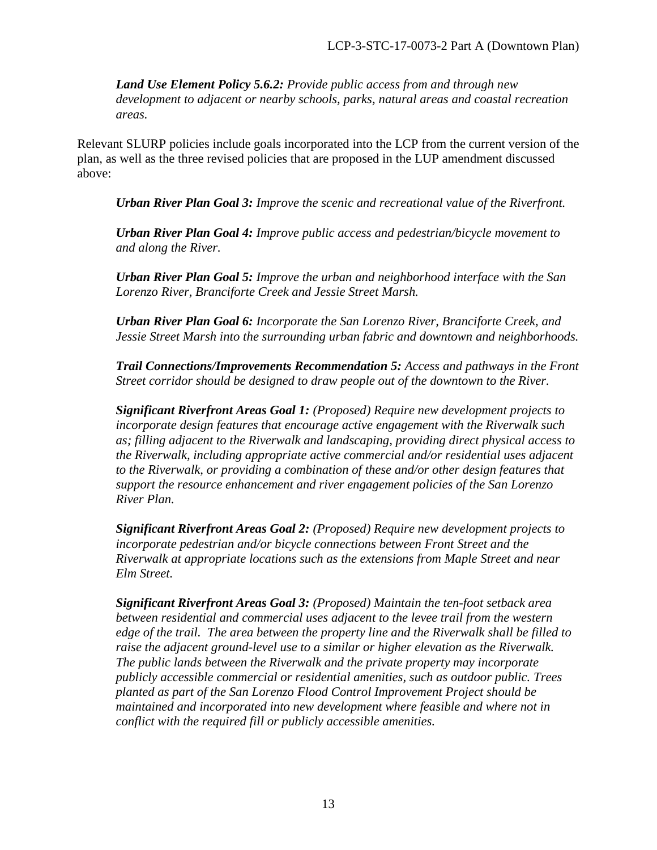*Land Use Element Policy 5.6.2: Provide public access from and through new development to adjacent or nearby schools, parks, natural areas and coastal recreation areas.* 

Relevant SLURP policies include goals incorporated into the LCP from the current version of the plan, as well as the three revised policies that are proposed in the LUP amendment discussed above:

*Urban River Plan Goal 3: Improve the scenic and recreational value of the Riverfront.* 

*Urban River Plan Goal 4: Improve public access and pedestrian/bicycle movement to and along the River.* 

*Urban River Plan Goal 5: Improve the urban and neighborhood interface with the San Lorenzo River, Branciforte Creek and Jessie Street Marsh.* 

*Urban River Plan Goal 6: Incorporate the San Lorenzo River, Branciforte Creek, and Jessie Street Marsh into the surrounding urban fabric and downtown and neighborhoods.* 

*Trail Connections/Improvements Recommendation 5: Access and pathways in the Front Street corridor should be designed to draw people out of the downtown to the River.* 

*Significant Riverfront Areas Goal 1: (Proposed) Require new development projects to incorporate design features that encourage active engagement with the Riverwalk such as; filling adjacent to the Riverwalk and landscaping, providing direct physical access to the Riverwalk, including appropriate active commercial and/or residential uses adjacent to the Riverwalk, or providing a combination of these and/or other design features that support the resource enhancement and river engagement policies of the San Lorenzo River Plan.*

*Significant Riverfront Areas Goal 2: (Proposed) Require new development projects to incorporate pedestrian and/or bicycle connections between Front Street and the Riverwalk at appropriate locations such as the extensions from Maple Street and near Elm Street.*

*Significant Riverfront Areas Goal 3: (Proposed) Maintain the ten-foot setback area between residential and commercial uses adjacent to the levee trail from the western edge of the trail. The area between the property line and the Riverwalk shall be filled to raise the adjacent ground-level use to a similar or higher elevation as the Riverwalk. The public lands between the Riverwalk and the private property may incorporate publicly accessible commercial or residential amenities, such as outdoor public. Trees planted as part of the San Lorenzo Flood Control Improvement Project should be maintained and incorporated into new development where feasible and where not in conflict with the required fill or publicly accessible amenities.*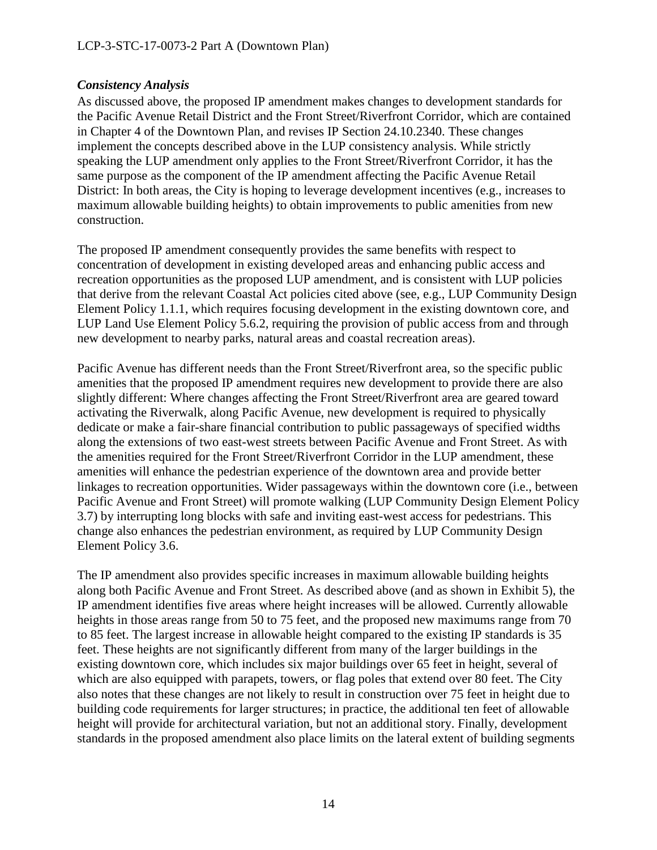### *Consistency Analysis*

As discussed above, the proposed IP amendment makes changes to development standards for the Pacific Avenue Retail District and the Front Street/Riverfront Corridor, which are contained in Chapter 4 of the Downtown Plan, and revises IP Section 24.10.2340. These changes implement the concepts described above in the LUP consistency analysis. While strictly speaking the LUP amendment only applies to the Front Street/Riverfront Corridor, it has the same purpose as the component of the IP amendment affecting the Pacific Avenue Retail District: In both areas, the City is hoping to leverage development incentives (e.g., increases to maximum allowable building heights) to obtain improvements to public amenities from new construction.

The proposed IP amendment consequently provides the same benefits with respect to concentration of development in existing developed areas and enhancing public access and recreation opportunities as the proposed LUP amendment, and is consistent with LUP policies that derive from the relevant Coastal Act policies cited above (see, e.g., LUP Community Design Element Policy 1.1.1, which requires focusing development in the existing downtown core, and LUP Land Use Element Policy 5.6.2, requiring the provision of public access from and through new development to nearby parks, natural areas and coastal recreation areas).

Pacific Avenue has different needs than the Front Street/Riverfront area, so the specific public amenities that the proposed IP amendment requires new development to provide there are also slightly different: Where changes affecting the Front Street/Riverfront area are geared toward activating the Riverwalk, along Pacific Avenue, new development is required to physically dedicate or make a fair-share financial contribution to public passageways of specified widths along the extensions of two east-west streets between Pacific Avenue and Front Street. As with the amenities required for the Front Street/Riverfront Corridor in the LUP amendment, these amenities will enhance the pedestrian experience of the downtown area and provide better linkages to recreation opportunities. Wider passageways within the downtown core (i.e., between Pacific Avenue and Front Street) will promote walking (LUP Community Design Element Policy 3.7) by interrupting long blocks with safe and inviting east-west access for pedestrians. This change also enhances the pedestrian environment, as required by LUP Community Design Element Policy 3.6.

The IP amendment also provides specific increases in maximum allowable building heights along both Pacific Avenue and Front Street. As described above (and as shown in Exhibit 5), the IP amendment identifies five areas where height increases will be allowed. Currently allowable heights in those areas range from 50 to 75 feet, and the proposed new maximums range from 70 to 85 feet. The largest increase in allowable height compared to the existing IP standards is 35 feet. These heights are not significantly different from many of the larger buildings in the existing downtown core, which includes six major buildings over 65 feet in height, several of which are also equipped with parapets, towers, or flag poles that extend over 80 feet. The City also notes that these changes are not likely to result in construction over 75 feet in height due to building code requirements for larger structures; in practice, the additional ten feet of allowable height will provide for architectural variation, but not an additional story. Finally, development standards in the proposed amendment also place limits on the lateral extent of building segments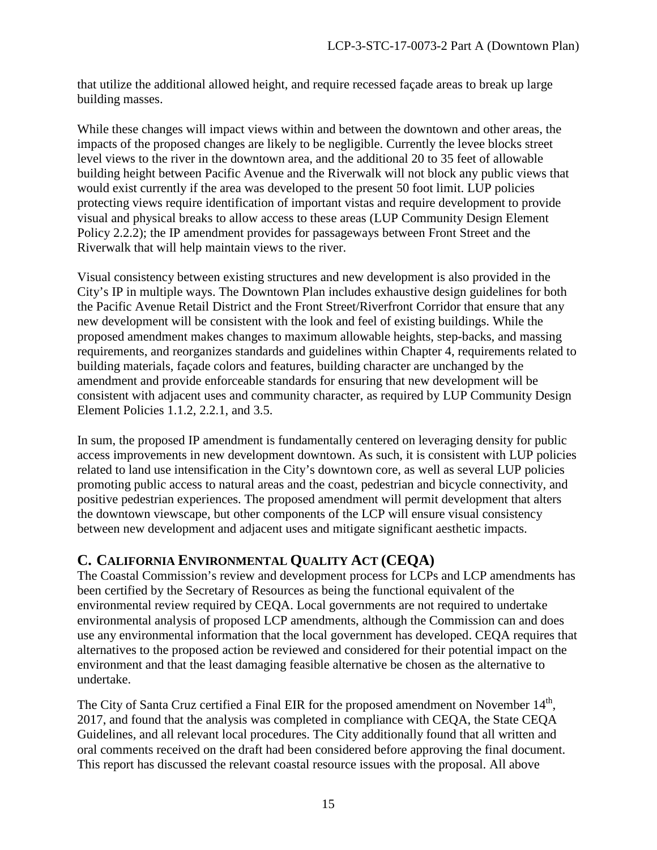that utilize the additional allowed height, and require recessed façade areas to break up large building masses.

While these changes will impact views within and between the downtown and other areas, the impacts of the proposed changes are likely to be negligible. Currently the levee blocks street level views to the river in the downtown area, and the additional 20 to 35 feet of allowable building height between Pacific Avenue and the Riverwalk will not block any public views that would exist currently if the area was developed to the present 50 foot limit. LUP policies protecting views require identification of important vistas and require development to provide visual and physical breaks to allow access to these areas (LUP Community Design Element Policy 2.2.2); the IP amendment provides for passageways between Front Street and the Riverwalk that will help maintain views to the river.

Visual consistency between existing structures and new development is also provided in the City's IP in multiple ways. The Downtown Plan includes exhaustive design guidelines for both the Pacific Avenue Retail District and the Front Street/Riverfront Corridor that ensure that any new development will be consistent with the look and feel of existing buildings. While the proposed amendment makes changes to maximum allowable heights, step-backs, and massing requirements, and reorganizes standards and guidelines within Chapter 4, requirements related to building materials, façade colors and features, building character are unchanged by the amendment and provide enforceable standards for ensuring that new development will be consistent with adjacent uses and community character, as required by LUP Community Design Element Policies 1.1.2, 2.2.1, and 3.5.

In sum, the proposed IP amendment is fundamentally centered on leveraging density for public access improvements in new development downtown. As such, it is consistent with LUP policies related to land use intensification in the City's downtown core, as well as several LUP policies promoting public access to natural areas and the coast, pedestrian and bicycle connectivity, and positive pedestrian experiences. The proposed amendment will permit development that alters the downtown viewscape, but other components of the LCP will ensure visual consistency between new development and adjacent uses and mitigate significant aesthetic impacts.

# <span id="page-14-0"></span>**C. CALIFORNIA ENVIRONMENTAL QUALITY ACT (CEQA)**

The Coastal Commission's review and development process for LCPs and LCP amendments has been certified by the Secretary of Resources as being the functional equivalent of the environmental review required by CEQA. Local governments are not required to undertake environmental analysis of proposed LCP amendments, although the Commission can and does use any environmental information that the local government has developed. CEQA requires that alternatives to the proposed action be reviewed and considered for their potential impact on the environment and that the least damaging feasible alternative be chosen as the alternative to undertake.

The City of Santa Cruz certified a Final EIR for the proposed amendment on November 14<sup>th</sup>, 2017, and found that the analysis was completed in compliance with CEQA, the State CEQA Guidelines, and all relevant local procedures. The City additionally found that all written and oral comments received on the draft had been considered before approving the final document. This report has discussed the relevant coastal resource issues with the proposal. All above